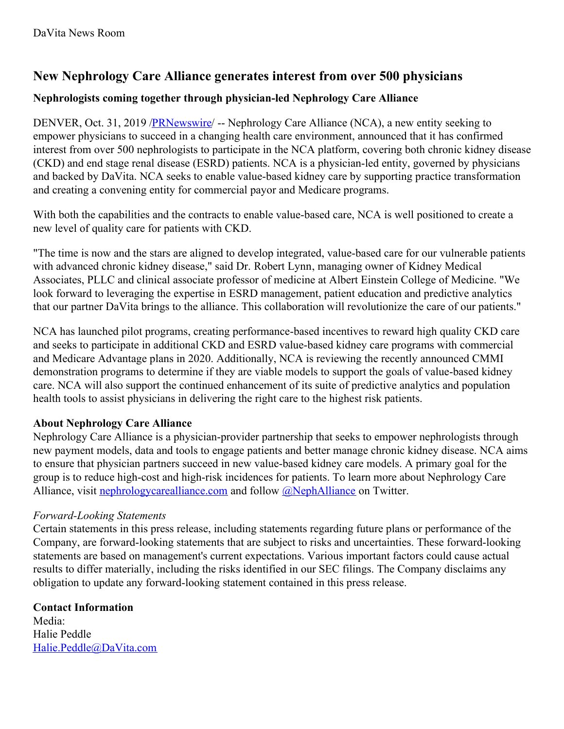# **New Nephrology Care Alliance generates interest from over 500 physicians**

## **Nephrologists coming together through physician-led Nephrology Care Alliance**

DENVER, Oct. 31, 2019 [/PRNewswire](http://www.prnewswire.com/)/ -- Nephrology Care Alliance (NCA), a new entity seeking to empower physicians to succeed in a changing health care environment, announced that it has confirmed interest from over 500 nephrologists to participate in the NCA platform, covering both chronic kidney disease (CKD) and end stage renal disease (ESRD) patients. NCA is a physician-led entity, governed by physicians and backed by DaVita. NCA seeks to enable value-based kidney care by supporting practice transformation and creating a convening entity for commercial payor and Medicare programs.

With both the capabilities and the contracts to enable value-based care, NCA is well positioned to create a new level of quality care for patients with CKD.

"The time is now and the stars are aligned to develop integrated, value-based care for our vulnerable patients with advanced chronic kidney disease," said Dr. Robert Lynn, managing owner of Kidney Medical Associates, PLLC and clinical associate professor of medicine at Albert Einstein College of Medicine. "We look forward to leveraging the expertise in ESRD management, patient education and predictive analytics that our partner DaVita brings to the alliance. This collaboration will revolutionize the care of our patients."

NCA has launched pilot programs, creating performance-based incentives to reward high quality CKD care and seeks to participate in additional CKD and ESRD value-based kidney care programs with commercial and Medicare Advantage plans in 2020. Additionally, NCA is reviewing the recently announced CMMI demonstration programs to determine if they are viable models to support the goals of value-based kidney care. NCA will also support the continued enhancement of its suite of predictive analytics and population health tools to assist physicians in delivering the right care to the highest risk patients.

## **About Nephrology Care Alliance**

Nephrology Care Alliance is a physician-provider partnership that seeks to empower nephrologists through new payment models, data and tools to engage patients and better manage chronic kidney disease. NCA aims to ensure that physician partners succeed in new value-based kidney care models. A primary goal for the group is to reduce high-cost and high-risk incidences for patients. To learn more about Nephrology Care Alliance, visit [nephrologycarealliance.com](https://c212.net/c/link/?t=0&l=en&o=2627630-1&h=2910467713&u=http%3A%2F%2Fnephrologycarealliance.com%2F&a=nephrologycarealliance.com) and follow **[@NephAlliance](https://c212.net/c/link/?t=0&l=en&o=2627630-1&h=4209191655&u=https%3A%2F%2Ftwitter.com%2FNephAlliance&a=%40NephAlliance)** on Twitter.

## *Forward-Looking Statements*

Certain statements in this press release, including statements regarding future plans or performance of the Company, are forward-looking statements that are subject to risks and uncertainties. These forward-looking statements are based on management's current expectations. Various important factors could cause actual results to differ materially, including the risks identified in our SEC filings. The Company disclaims any obligation to update any forward-looking statement contained in this press release.

## **Contact Information**

Media: Halie Peddle [Halie.Peddle@DaVita.com](mailto:Halie.Peddle@DaVita.com)